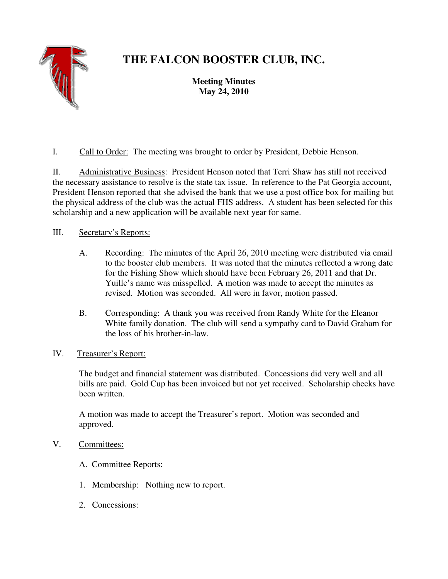

# **THE FALCON BOOSTER CLUB, INC.**

**Meeting Minutes May 24, 2010** 

I. Call to Order: The meeting was brought to order by President, Debbie Henson.

II. Administrative Business: President Henson noted that Terri Shaw has still not received the necessary assistance to resolve is the state tax issue. In reference to the Pat Georgia account, President Henson reported that she advised the bank that we use a post office box for mailing but the physical address of the club was the actual FHS address. A student has been selected for this scholarship and a new application will be available next year for same.

## III. Secretary's Reports:

- A. Recording: The minutes of the April 26, 2010 meeting were distributed via email to the booster club members. It was noted that the minutes reflected a wrong date for the Fishing Show which should have been February 26, 2011 and that Dr. Yuille's name was misspelled. A motion was made to accept the minutes as revised. Motion was seconded. All were in favor, motion passed.
- B. Corresponding: A thank you was received from Randy White for the Eleanor White family donation. The club will send a sympathy card to David Graham for the loss of his brother-in-law.
- IV. Treasurer's Report:

The budget and financial statement was distributed. Concessions did very well and all bills are paid. Gold Cup has been invoiced but not yet received. Scholarship checks have been written.

A motion was made to accept the Treasurer's report. Motion was seconded and approved.

### V. Committees:

- A. Committee Reports:
- 1. Membership: Nothing new to report.
- 2. Concessions: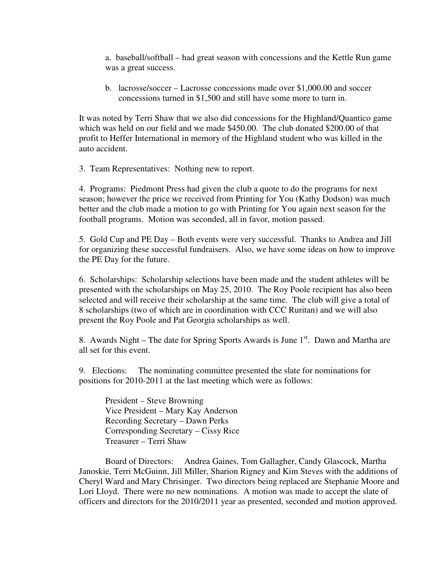a. baseball/softball – had great season with concessions and the Kettle Run game was a great success.

b. lacrosse/soccer – Lacrosse concessions made over \$1,000.00 and soccer concessions turned in \$1,500 and still have some more to turn in.

It was noted by Terri Shaw that we also did concessions for the Highland/Quantico game which was held on our field and we made \$450.00. The club donated \$200.00 of that profit to Heffer International in memory of the Highland student who was killed in the auto accident.

3. Team Representatives: Nothing new to report.

4. Programs: Piedmont Press had given the club a quote to do the programs for next season; however the price we received from Printing for You (Kathy Dodson) was much better and the club made a motion to go with Printing for You again next season for the football programs. Motion was seconded, all in favor, motion passed.

5. Gold Cup and PE Day – Both events were very successful. Thanks to Andrea and Jill for organizing these successful fundraisers. Also, we have some ideas on how to improve the PE Day for the future.

6. Scholarships: Scholarship selections have been made and the student athletes will be presented with the scholarships on May 25, 2010. The Roy Poole recipient has also been selected and will receive their scholarship at the same time. The club will give a total of 8 scholarships (two of which are in coordination with CCC Ruritan) and we will also present the Roy Poole and Pat Georgia scholarships as well.

8. Awards Night – The date for Spring Sports Awards is June  $1<sup>st</sup>$ . Dawn and Martha are all set for this event.

9. Elections: The nominating committee presented the slate for nominations for positions for 2010-2011 at the last meeting which were as follows:

 President – Steve Browning Vice President – Mary Kay Anderson Recording Secretary – Dawn Perks Corresponding Secretary – Cissy Rice Treasurer – Terri Shaw

 Board of Directors: Andrea Gaines, Tom Gallagher, Candy Glascock, Martha Janoskie, Terri McGuinn, Jill Miller, Sharion Rigney and Kim Steves with the additions of Cheryl Ward and Mary Chrisinger. Two directors being replaced are Stephanie Moore and Lori Lloyd. There were no new nominations. A motion was made to accept the slate of officers and directors for the 2010/2011 year as presented, seconded and motion approved.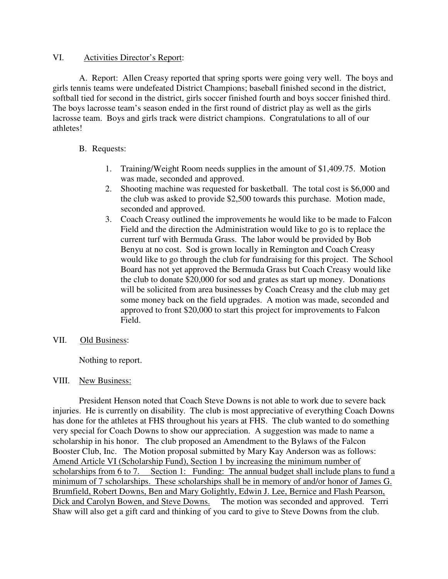#### VI. Activities Director's Report:

 A. Report: Allen Creasy reported that spring sports were going very well. The boys and girls tennis teams were undefeated District Champions; baseball finished second in the district, softball tied for second in the district, girls soccer finished fourth and boys soccer finished third. The boys lacrosse team's season ended in the first round of district play as well as the girls lacrosse team. Boys and girls track were district champions. Congratulations to all of our athletes!

#### B. Requests:

- 1. Training/Weight Room needs supplies in the amount of \$1,409.75. Motion was made, seconded and approved.
- 2. Shooting machine was requested for basketball. The total cost is \$6,000 and the club was asked to provide \$2,500 towards this purchase. Motion made, seconded and approved.
- 3. Coach Creasy outlined the improvements he would like to be made to Falcon Field and the direction the Administration would like to go is to replace the current turf with Bermuda Grass. The labor would be provided by Bob Benyu at no cost. Sod is grown locally in Remington and Coach Creasy would like to go through the club for fundraising for this project. The School Board has not yet approved the Bermuda Grass but Coach Creasy would like the club to donate \$20,000 for sod and grates as start up money. Donations will be solicited from area businesses by Coach Creasy and the club may get some money back on the field upgrades. A motion was made, seconded and approved to front \$20,000 to start this project for improvements to Falcon Field.
- VII. Old Business:

Nothing to report.

#### VIII. New Business:

 President Henson noted that Coach Steve Downs is not able to work due to severe back injuries. He is currently on disability. The club is most appreciative of everything Coach Downs has done for the athletes at FHS throughout his years at FHS. The club wanted to do something very special for Coach Downs to show our appreciation. A suggestion was made to name a scholarship in his honor. The club proposed an Amendment to the Bylaws of the Falcon Booster Club, Inc. The Motion proposal submitted by Mary Kay Anderson was as follows: Amend Article VI (Scholarship Fund), Section 1 by increasing the minimum number of scholarships from 6 to 7. Section 1: Funding: The annual budget shall include plans to fund a minimum of 7 scholarships. These scholarships shall be in memory of and/or honor of James G. Brumfield, Robert Downs, Ben and Mary Golightly, Edwin J. Lee, Bernice and Flash Pearson, Dick and Carolyn Bowen, and Steve Downs. The motion was seconded and approved. Terri Shaw will also get a gift card and thinking of you card to give to Steve Downs from the club.